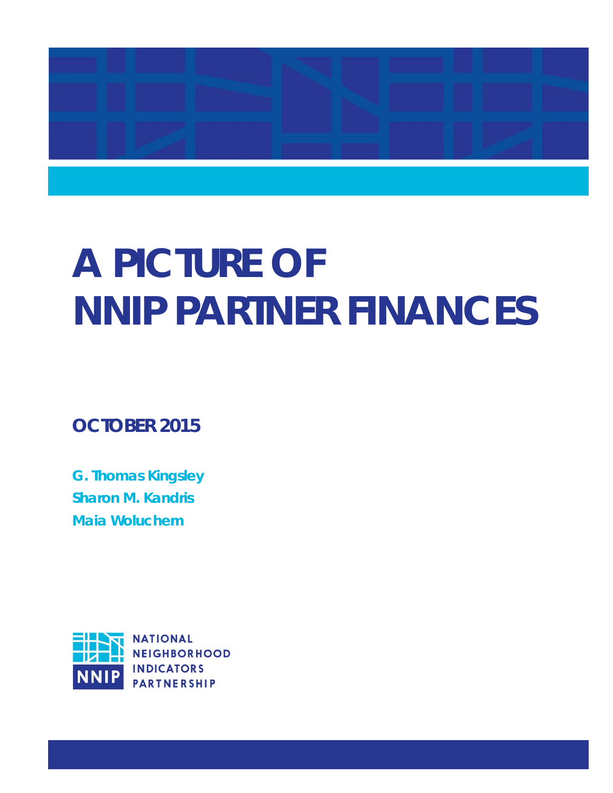

# **A PICTURE OF NNIP PARTNER FINANCES**

**OCTOBER 2015** 

**G. Thomas Kingsley Sharon M. Kandris Maia Woluchem** 

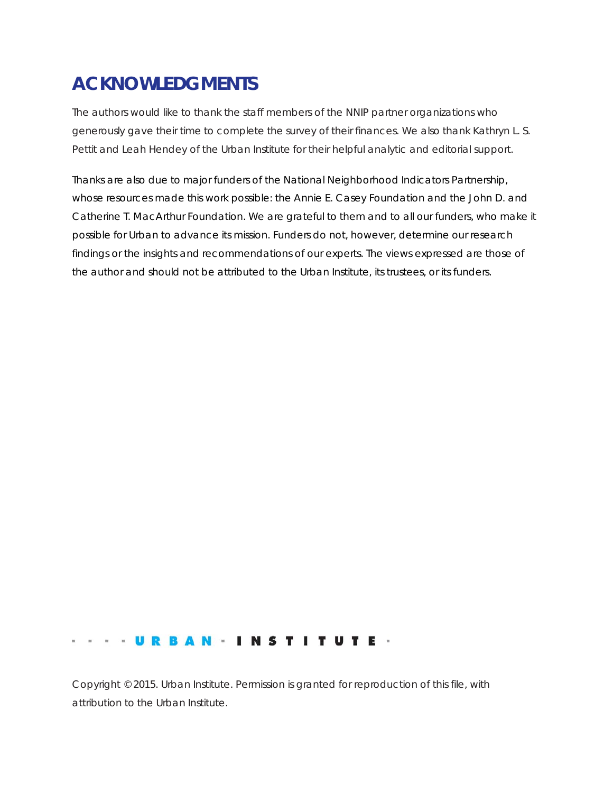# **ACKNOWLEDGMENTS**

The authors would like to thank the staff members of the NNIP partner organizations who generously gave their time to complete the survey of their finances. We also thank Kathryn L. S. Pettit and Leah Hendey of the Urban Institute for their helpful analytic and editorial support.

Thanks are also due to major funders of the National Neighborhood Indicators Partnership, whose resources made this work possible: the Annie E. Casey Foundation and the John D. and Catherine T. MacArthur Foundation. We are grateful to them and to all our funders, who make it possible for Urban to advance its mission. Funders do not, however, determine our research findings or the insights and recommendations of our experts. The views expressed are those of the author and should not be attributed to the Urban Institute, its trustees, or its funders.

#### **...URBAN . INSTITUTE .**

Copyright © 2015. Urban Institute. Permission is granted for reproduction of this file, with attribution to the Urban Institute.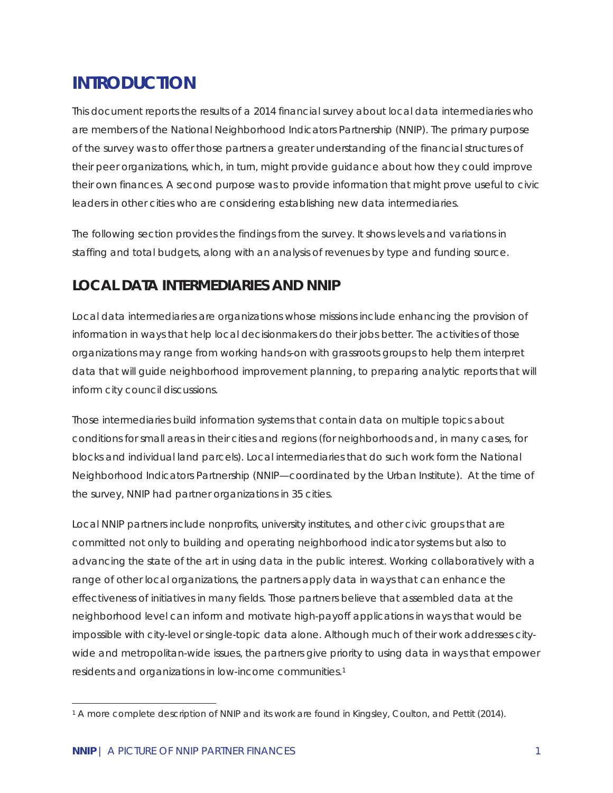# **INTRODUCTION**

This document reports the results of a 2014 financial survey about local data intermediaries who are members of the National Neighborhood Indicators Partnership (NNIP). The primary purpose of the survey was to offer those partners a greater understanding of the financial structures of their peer organizations, which, in turn, might provide guidance about how they could improve their own finances. A second purpose was to provide information that might prove useful to civic leaders in other cities who are considering establishing new data intermediaries.

The following section provides the findings from the survey. It shows levels and variations in staffing and total budgets, along with an analysis of revenues by type and funding source.

## **LOCAL DATA INTERMEDIARIES AND NNIP**

Local data intermediaries are organizations whose missions include enhancing the provision of information in ways that help local decisionmakers do their jobs better. The activities of those organizations may range from working hands-on with grassroots groups to help them interpret data that will guide neighborhood improvement planning, to preparing analytic reports that will inform city council discussions.

Those intermediaries build information systems that contain data on multiple topics about conditions for small areas in their cities and regions (for neighborhoods and, in many cases, for blocks and individual land parcels). Local intermediaries that do such work form the National Neighborhood Indicators Partnership (NNIP—coordinated by the Urban Institute). At the time of the survey, NNIP had partner organizations in 35 cities.

Local NNIP partners include nonprofits, university institutes, and other civic groups that are committed not only to building and operating neighborhood indicator systems but also to advancing the state of the art in using data in the public interest. Working collaboratively with a range of other local organizations, the partners apply data in ways that can enhance the effectiveness of initiatives in many fields. Those partners believe that assembled data at the neighborhood level can inform and motivate high-payoff applications in ways that would be impossible with city-level or single-topic data alone. Although much of their work addresses citywide and metropolitan-wide issues, the partners give priority to using data in ways that empower residents and organizations in low-income communities.1

-

<sup>&</sup>lt;sup>1</sup> A more complete description of NNIP and its work are found in Kingsley, Coulton, and Pettit (2014).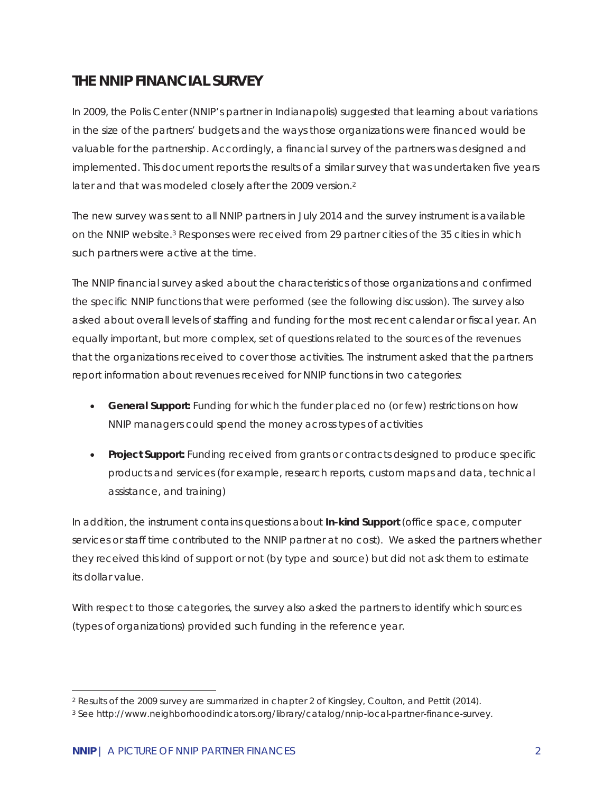## **THE NNIP FINANCIAL SURVEY**

In 2009, the Polis Center (NNIP's partner in Indianapolis) suggested that learning about variations in the size of the partners' budgets and the ways those organizations were financed would be valuable for the partnership. Accordingly, a financial survey of the partners was designed and implemented. This document reports the results of a similar survey that was undertaken five years later and that was modeled closely after the 2009 version.<sup>2</sup>

The new survey was sent to all NNIP partners in July 2014 and the survey instrument is available on the NNIP website.3 Responses were received from 29 partner cities of the 35 cities in which such partners were active at the time.

The NNIP financial survey asked about the characteristics of those organizations and confirmed the specific NNIP functions that were performed (see the following discussion). The survey also asked about overall levels of staffing and funding for the most recent calendar or fiscal year. An equally important, but more complex, set of questions related to the sources of the revenues that the organizations received to cover those activities. The instrument asked that the partners report information about revenues received for NNIP functions in two categories:

- *General Support:* Funding for which the funder placed no (or few) restrictions on how NNIP managers could spend the money across types of activities
- *Project Support:* Funding received from grants or contracts designed to produce specific products and services (for example, research reports, custom maps and data, technical assistance, and training)

In addition, the instrument contains questions about *In-kind Support* (office space, computer services or staff time contributed to the NNIP partner at no cost). We asked the partners whether they received this kind of support or not (by type and source) but did not ask them to estimate its dollar value.

With respect to those categories, the survey also asked the partners to identify which sources (types of organizations) provided such funding in the reference year.

<sup>-</sup><sup>2</sup> Results of the 2009 survey are summarized in chapter 2 of Kingsley, Coulton, and Pettit (2014).

*<sup>3</sup> See http://www.neighborhoodindicators.org/library/catalog/nnip-local-partner-finance-survey.*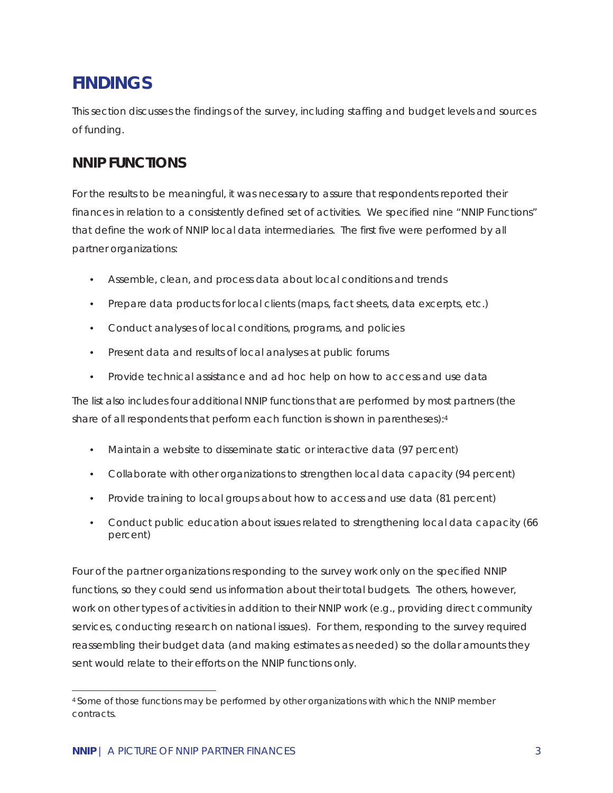# **FINDINGS**

This section discusses the findings of the survey, including staffing and budget levels and sources of funding.

## **NNIP FUNCTIONS**

For the results to be meaningful, it was necessary to assure that respondents reported their finances in relation to a consistently defined set of activities. We specified nine "NNIP Functions" that define the work of NNIP local data intermediaries. The first five were performed by all partner organizations:

- Assemble, clean, and process data about local conditions and trends
- Prepare data products for local clients (maps, fact sheets, data excerpts, etc.)
- Conduct analyses of local conditions, programs, and policies
- Present data and results of local analyses at public forums
- Provide technical assistance and ad hoc help on how to access and use data

The list also includes four additional NNIP functions that are performed by most partners (the share of all respondents that perform each function is shown in parentheses):4

- Maintain a website to disseminate static or interactive data (97 percent)
- Collaborate with other organizations to strengthen local data capacity (94 percent)
- Provide training to local groups about how to access and use data (81 percent)
- Conduct public education about issues related to strengthening local data capacity (66 percent)

Four of the partner organizations responding to the survey work only on the specified NNIP functions, so they could send us information about their total budgets. The others, however, work on other types of activities in addition to their NNIP work (e.g., providing direct community services, conducting research on national issues). For them, responding to the survey required reassembling their budget data (and making estimates as needed) so the dollar amounts they sent would relate to their efforts on the NNIP functions only.

 $\overline{a}$ *4 Some of those functions may be performed by other organizations with which the NNIP member contracts.*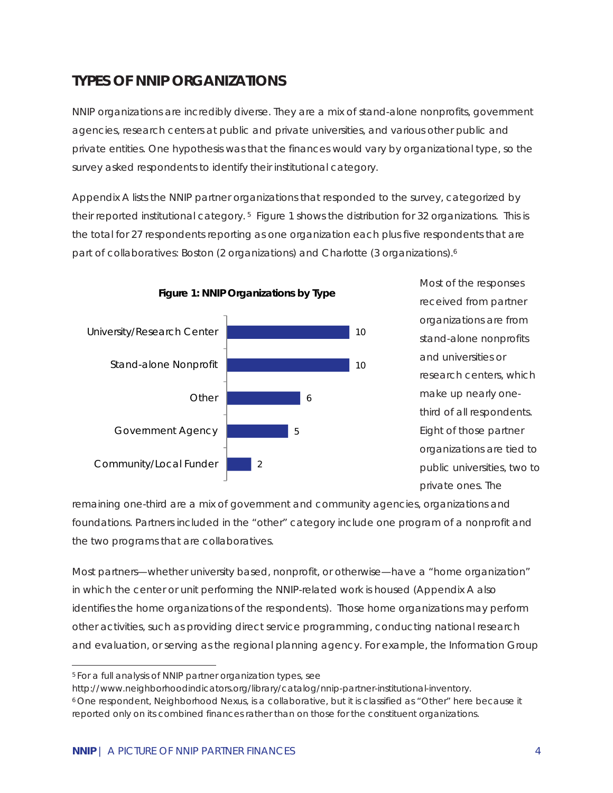## **TYPES OF NNIP ORGANIZATIONS**

NNIP organizations are incredibly diverse. They are a mix of stand-alone nonprofits, government agencies, research centers at public and private universities, and various other public and private entities. One hypothesis was that the finances would vary by organizational type, so the survey asked respondents to identify their institutional category.

Appendix A lists the NNIP partner organizations that responded to the survey, categorized by their reported institutional category. 5 Figure 1 shows the distribution for 32 organizations. This is the total for 27 respondents reporting as one organization each plus five respondents that are part of collaboratives: Boston (2 organizations) and Charlotte (3 organizations).<sup>6</sup>



remaining one-third are a mix of government and community agencies, organizations and foundations. Partners included in the "other" category include one program of a nonprofit and the two programs that are collaboratives.

Most partners—whether university based, nonprofit, or otherwise—have a "home organization" in which the center or unit performing the NNIP-related work is housed (Appendix A also identifies the home organizations of the respondents). Those home organizations may perform other activities, such as providing direct service programming, conducting national research and evaluation, or serving as the regional planning agency. For example, the Information Group

-

*<sup>5</sup> For a full analysis of NNIP partner organization types, see* 

*http://www.neighborhoodindicators.org/library/catalog/nnip-partner-institutional-inventory. 6 One respondent, Neighborhood Nexus, is a collaborative, but it is classified as "Other" here because it reported only on its combined finances rather than on those for the constituent organizations.*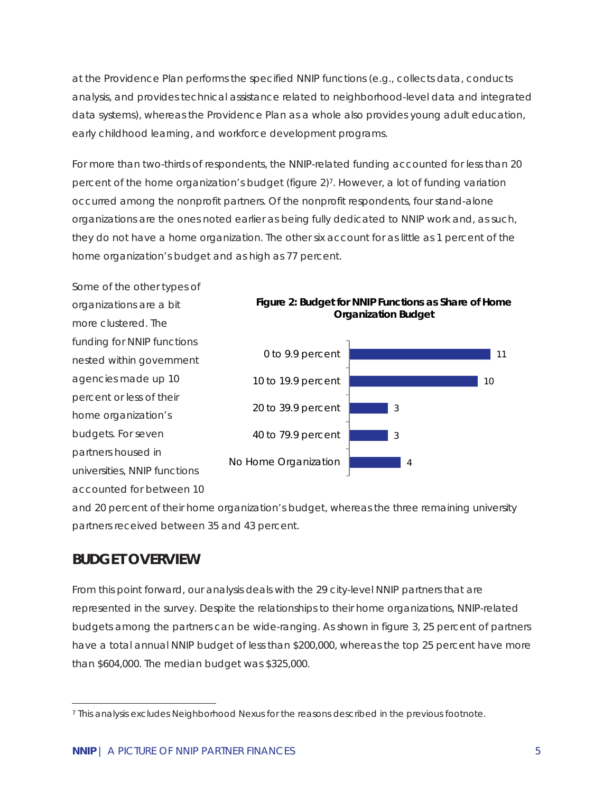at the Providence Plan performs the specified NNIP functions (e.g., collects data, conducts analysis, and provides technical assistance related to neighborhood-level data and integrated data systems), whereas the Providence Plan as a whole also provides young adult education, early childhood learning, and workforce development programs.

For more than two-thirds of respondents, the NNIP-related funding accounted for less than 20 percent of the home organization's budget (figure 2)7. However, a lot of funding variation occurred among the nonprofit partners. Of the nonprofit respondents, four stand-alone organizations are the ones noted earlier as being fully dedicated to NNIP work and, as such, they do not have a home organization. The other six account for as little as 1 percent of the home organization's budget and as high as 77 percent.

Some of the other types of organizations are a bit more clustered. The funding for NNIP functions nested within government agencies made up 10 percent or less of their home organization's budgets. For seven partners housed in universities, NNIP functions accounted for between 10





and 20 percent of their home organization's budget, whereas the three remaining university partners received between 35 and 43 percent.

## **BUDGET OVERVIEW**

From this point forward, our analysis deals with the 29 city-level *NNIP partners* that are represented in the survey. Despite the relationships to their home organizations, NNIP-related budgets among the partners can be wide-ranging. As shown in figure 3, 25 percent of partners have a total annual NNIP budget of less than \$200,000, whereas the top 25 percent have more than \$604,000. The median budget was \$325,000.

 $\overline{a}$ *7 This analysis excludes Neighborhood Nexus for the reasons described in the previous footnote.*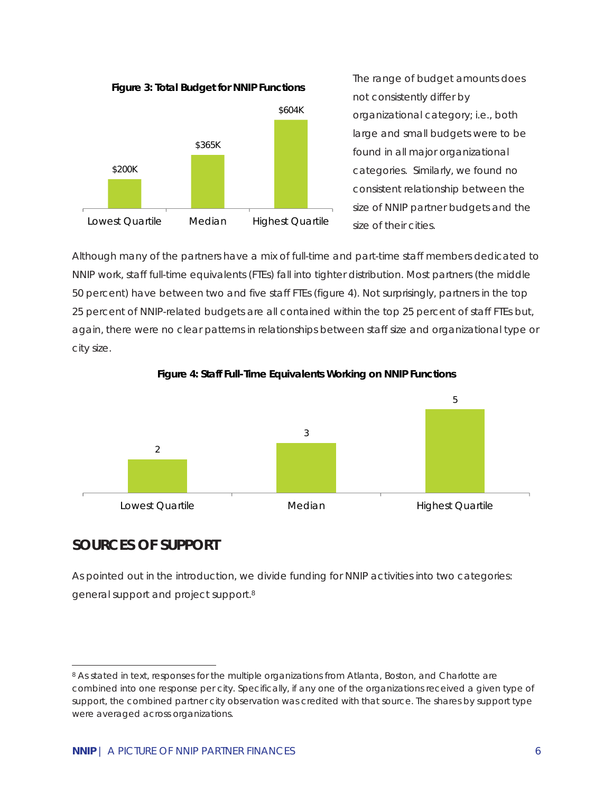**Figure 3: Total Budget for NNIP Functions**



The range of budget amounts does not consistently differ by organizational category; i.e., both large and small budgets were to be found in all major organizational categories. Similarly, we found no consistent relationship between the size of NNIP partner budgets and the size of their cities.

Although many of the partners have a mix of full-time and part-time staff members dedicated to NNIP work, staff full-time equivalents (FTEs) fall into tighter distribution. Most partners (the middle 50 percent) have between two and five staff FTEs (figure 4). Not surprisingly, partners in the top 25 percent of NNIP-related budgets are all contained within the top 25 percent of staff FTEs but, again, there were no clear patterns in relationships between staff size and organizational type or city size.





#### **SOURCES OF SUPPORT**

 $\overline{a}$ 

As pointed out in the introduction, we divide funding for NNIP activities into two categories: general support and project support.8

*<sup>8</sup> As stated in text, responses for the multiple organizations from Atlanta, Boston, and Charlotte are combined into one response per city. Specifically, if any one of the organizations received a given type of support, the combined partner city observation was credited with that source. The shares by support type were averaged across organizations.*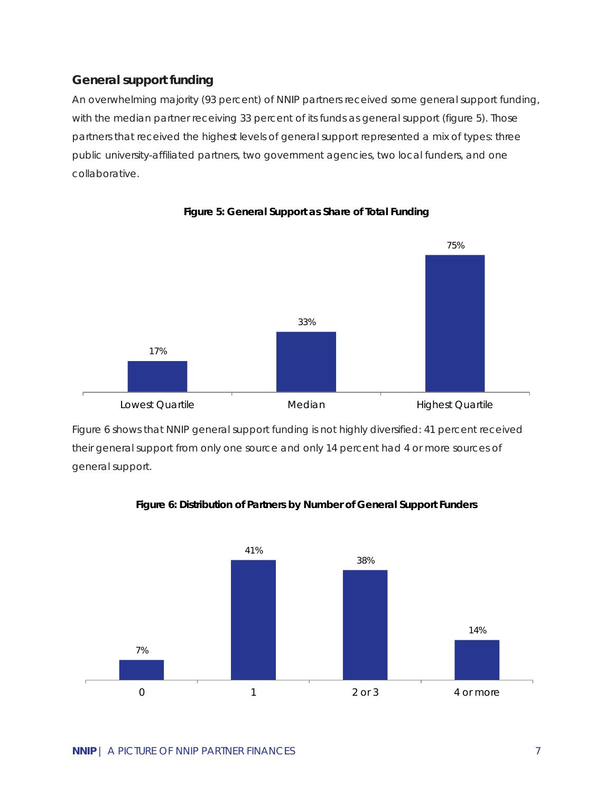#### **General support funding**

An overwhelming majority (93 percent) of NNIP partners received some general support funding, with the median partner receiving 33 percent of its funds as general support (figure 5). Those partners that received the highest levels of general support represented a mix of types: three public university-affiliated partners, two government agencies, two local funders, and one collaborative.



**Figure 5: General Support as Share of Total Funding**

Figure 6 shows that NNIP general support funding is not highly diversified: 41 percent received their general support from only one source and only 14 percent had 4 or more sources of general support.



**Figure 6: Distribution of Partners by Number of General Support Funders**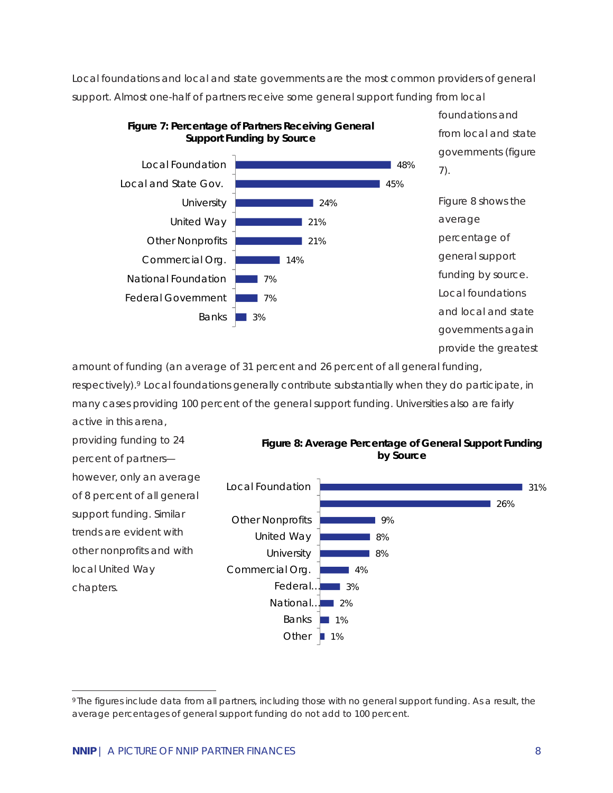Local foundations and local and state governments are the most common providers of general support. Almost one-half of partners receive some general support funding from local



foundations and from local and state governments (figure 7).

Figure 8 shows the average percentage of general support funding by source. Local foundations and local and state governments again provide the greatest

amount of funding (an average of 31 percent and 26 percent of all general funding, respectively).<sup>9</sup> Local foundations generally contribute substantially when they do participate, in many cases providing 100 percent of the general support funding. Universities also are fairly active in this arena,

providing funding to 24 percent of partners however, only an average of 8 percent of all general support funding. Similar trends are evident with other nonprofits and with local United Way chapters.

**Figure 8: Average Percentage of General Support Funding by Source**



 $\overline{a}$ *9 The figures include data from all partners, including those with no general support funding. As a result, the average percentages of general support funding do not add to 100 percent.*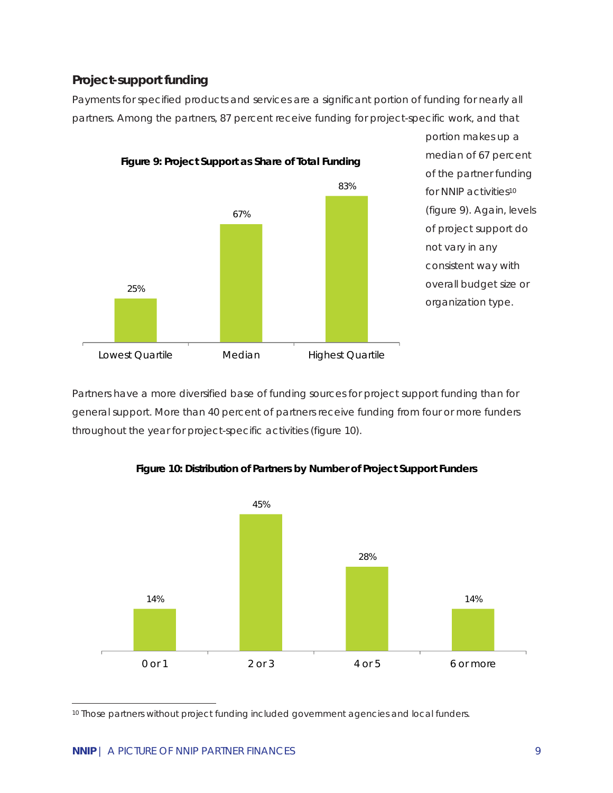#### **Project-support funding**

Payments for specified products and services are a significant portion of funding for nearly all partners. Among the partners, 87 percent receive funding for project-specific work, and that



portion makes up a median of 67 percent of the partner funding for NNIP activities<sup>10</sup> (figure 9). Again, levels of project support do not vary in any consistent way with overall budget size or organization type.

Partners have a more diversified base of funding sources for project support funding than for general support. More than 40 percent of partners receive funding from four or more funders throughout the year for project-specific activities (figure 10).



**Figure 10: Distribution of Partners by Number of Project Support Funders**

*10 Those partners without project funding included government agencies and local funders.* 

 $\overline{a}$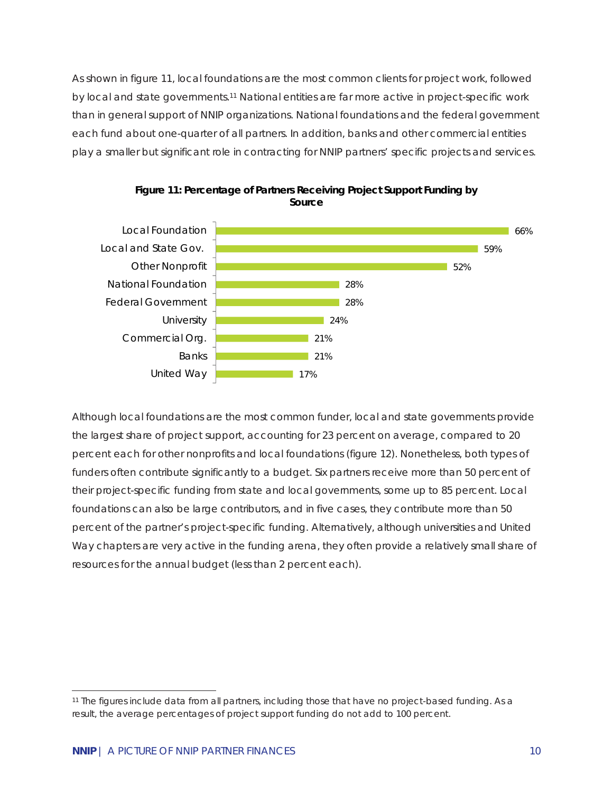As shown in figure 11, local foundations are the most common clients for project work, followed by local and state governments.11 National entities are far more active in project-specific work than in general support of NNIP organizations. National foundations and the federal government each fund about one-quarter of all partners. In addition, banks and other commercial entities play a smaller but significant role in contracting for NNIP partners' specific projects and services.





Although local foundations are the most common funder, local and state governments provide the largest share of project support, accounting for 23 percent on average, compared to 20 percent each for other nonprofits and local foundations (figure 12). Nonetheless, both types of funders often contribute significantly to a budget. Six partners receive more than 50 percent of their project-specific funding from state and local governments, some up to 85 percent. Local foundations can also be large contributors, and in five cases, they contribute more than 50 percent of the partner's project-specific funding. Alternatively, although universities and United Way chapters are very active in the funding arena, they often provide a relatively small share of resources for the annual budget (less than 2 percent each).

<sup>-</sup>*11 The figures include data from all partners, including those that have no project-based funding. As a*  result, the average percentages of project support funding do not add to 100 percent.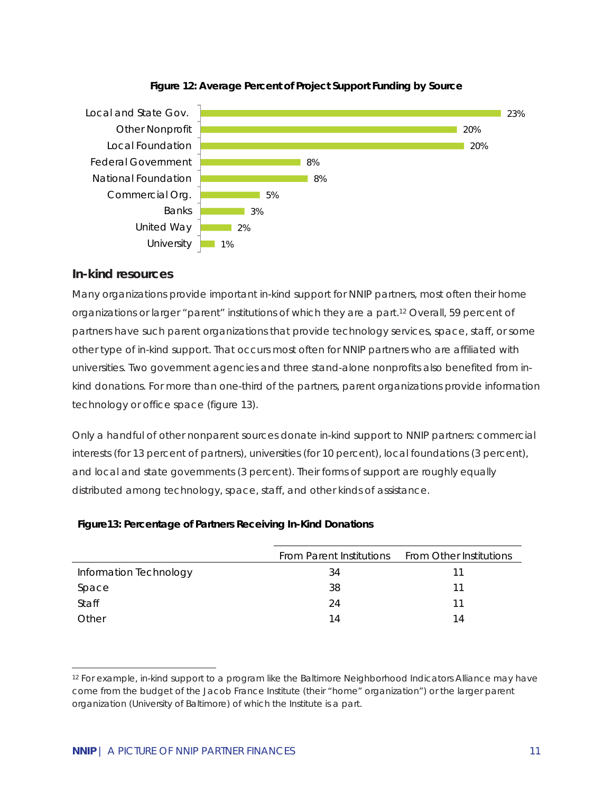



#### **In-kind resources**

Many organizations provide important in-kind support for NNIP partners, most often their home organizations or larger "parent" institutions of which they are a part.12 Overall, 59 percent of partners have such parent organizations that provide technology services, space, staff, or some other type of in-kind support. That occurs most often for NNIP partners who are affiliated with universities. Two government agencies and three stand-alone nonprofits also benefited from inkind donations. For more than one-third of the partners, parent organizations provide information technology or office space (figure 13).

Only a handful of other nonparent sources donate in-kind support to NNIP partners: commercial interests (for 13 percent of partners), universities (for 10 percent), local foundations (3 percent), and local and state governments (3 percent). Their forms of support are roughly equally distributed among technology, space, staff, and other kinds of assistance.

| Figure 13: Percentage of Partners Receiving In-Kind Donations |  |
|---------------------------------------------------------------|--|
|---------------------------------------------------------------|--|

|                        | From Parent Institutions From Other Institutions |    |
|------------------------|--------------------------------------------------|----|
| Information Technology | 34                                               |    |
| Space                  | 38                                               | 11 |
| <b>Staff</b>           | 24                                               | 11 |
| Other                  | 14                                               | 14 |

j

*<sup>12</sup> For example, in-kind support to a program like the Baltimore Neighborhood Indicators Alliance may have come from the budget of the Jacob France Institute (their "home" organization") or the larger parent organization (University of Baltimore) of which the Institute is a part.*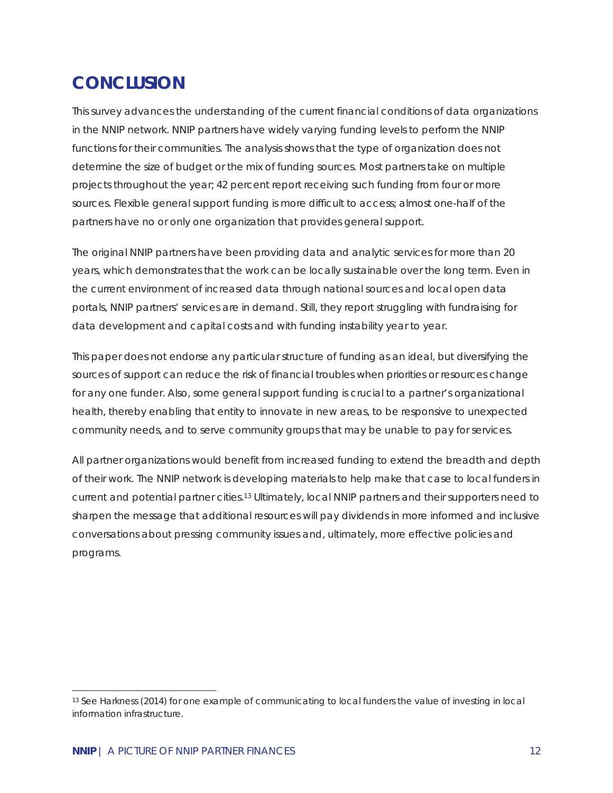# **CONCLUSION**

This survey advances the understanding of the current financial conditions of data organizations in the NNIP network. NNIP partners have widely varying funding levels to perform the NNIP functions for their communities. The analysis shows that the type of organization does not determine the size of budget or the mix of funding sources. Most partners take on multiple projects throughout the year; 42 percent report receiving such funding from four or more sources. Flexible general support funding is more difficult to access; almost one-half of the partners have no or only one organization that provides general support.

The original NNIP partners have been providing data and analytic services for more than 20 years, which demonstrates that the work can be locally sustainable over the long term. Even in the current environment of increased data through national sources and local open data portals, NNIP partners' services are in demand. Still, they report struggling with fundraising for data development and capital costs and with funding instability year to year.

This paper does not endorse any particular structure of funding as an ideal, but diversifying the sources of support can reduce the risk of financial troubles when priorities or resources change for any one funder. Also, some general support funding is crucial to a partner's organizational health, thereby enabling that entity to innovate in new areas, to be responsive to unexpected community needs, and to serve community groups that may be unable to pay for services.

All partner organizations would benefit from increased funding to extend the breadth and depth of their work. The NNIP network is developing materials to help make that case to local funders in current and potential partner cities.13 Ultimately, local NNIP partners and their supporters need to sharpen the message that additional resources will pay dividends in more informed and inclusive conversations about pressing community issues and, ultimately, more effective policies and programs.

 $\overline{a}$ 

<sup>13</sup> *See Harkness (2014) for one example of communicating to local funders the value of investing in local information infrastructure.*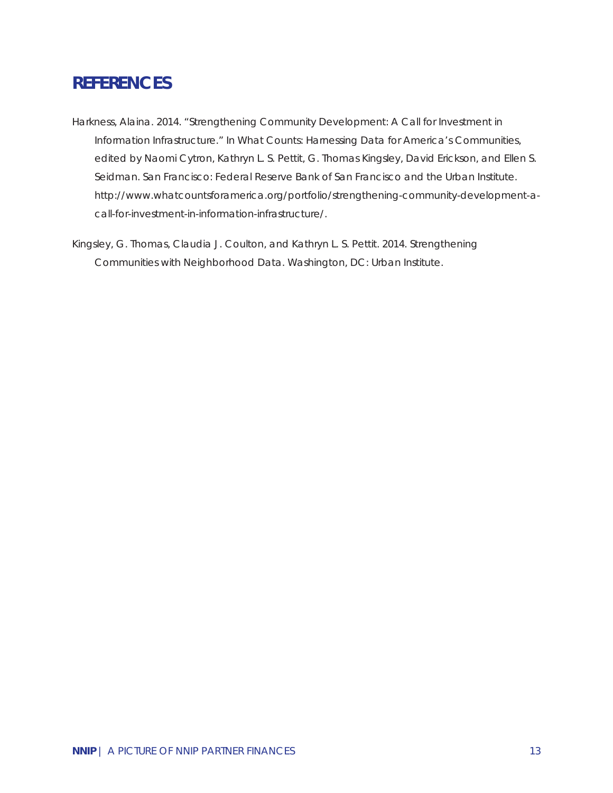## **REFERENCES**

- Harkness, Alaina. 2014. "Strengthening Community Development: A Call for Investment in Information Infrastructure." In *What Counts: Harnessing Data for America's Communities,*  edited by Naomi Cytron, Kathryn L. S. Pettit, G. Thomas Kingsley, David Erickson, and Ellen S. Seidman. San Francisco: Federal Reserve Bank of San Francisco and the Urban Institute. http://www.whatcountsforamerica.org/portfolio/strengthening-community-development-acall-for-investment-in-information-infrastructure/.
- Kingsley, G. Thomas, Claudia J. Coulton, and Kathryn L. S. Pettit. 2014. *Strengthening Communities with Neighborhood Data*. Washington, DC: Urban Institute.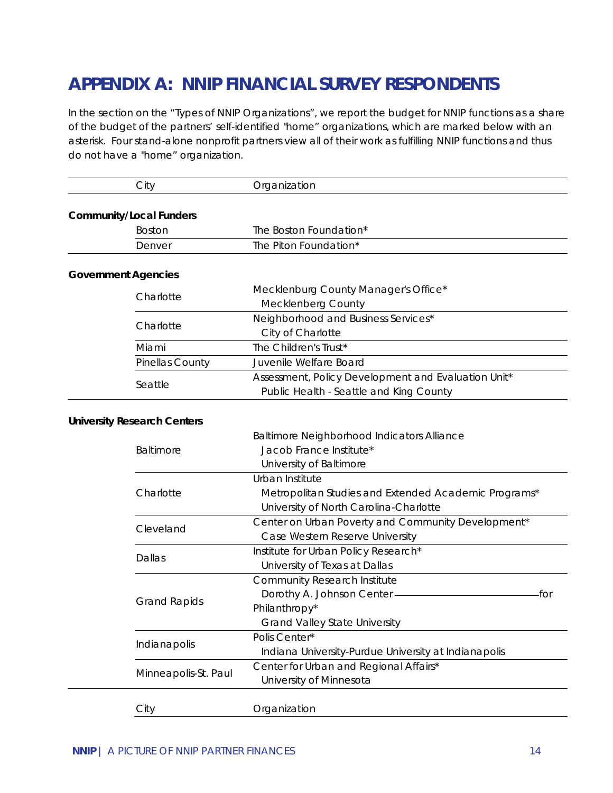# **APPENDIX A: NNIP FINANCIAL SURVEY RESPONDENTS**

*In the section on the "Types of NNIP Organizations", we report the budget for NNIP functions as a share of the budget of the partners' self-identified "home" organizations, which are marked below with an asterisk. Four stand-alone nonprofit partners view all of their work as fulfilling NNIP functions and thus do not have a "home" organization.* 

|  | City                               | Organization                                         |
|--|------------------------------------|------------------------------------------------------|
|  |                                    |                                                      |
|  | <b>Community/Local Funders</b>     |                                                      |
|  | <b>Boston</b>                      | The Boston Foundation*                               |
|  | Denver                             | The Piton Foundation*                                |
|  |                                    |                                                      |
|  | <b>Government Agencies</b>         |                                                      |
|  | Charlotte                          | Mecklenburg County Manager's Office*                 |
|  |                                    | Mecklenberg County                                   |
|  |                                    | Neighborhood and Business Services*                  |
|  | Charlotte                          | City of Charlotte                                    |
|  | Miami                              | The Children's Trust*                                |
|  | Pinellas County                    | Juvenile Welfare Board                               |
|  |                                    | Assessment, Policy Development and Evaluation Unit*  |
|  | Seattle                            | Public Health - Seattle and King County              |
|  |                                    |                                                      |
|  | <b>University Research Centers</b> |                                                      |
|  |                                    | Baltimore Neighborhood Indicators Alliance           |
|  | Baltimore                          | Jacob France Institute*                              |
|  |                                    | University of Baltimore                              |
|  |                                    | Urban Institute                                      |
|  | Charlotte                          | Metropolitan Studies and Extended Academic Programs* |
|  |                                    | University of North Carolina-Charlotte               |
|  |                                    | Center on Urban Poverty and Community Development*   |
|  | Cleveland                          | Case Western Reserve University                      |
|  |                                    | Institute for Urban Policy Research*                 |
|  | Dallas                             | University of Texas at Dallas                        |
|  |                                    | Community Research Institute                         |
|  |                                    | Dorothy A. Johnson Center ———<br>-for                |
|  | <b>Grand Rapids</b>                | Philanthropy*                                        |
|  |                                    | <b>Grand Valley State University</b>                 |
|  |                                    | Polis Center*                                        |
|  | Indianapolis                       | Indiana University-Purdue University at Indianapolis |
|  |                                    |                                                      |
|  | Minneapolis-St. Paul               | Center for Urban and Regional Affairs*               |
|  |                                    | University of Minnesota                              |
|  | City                               | Organization                                         |
|  |                                    |                                                      |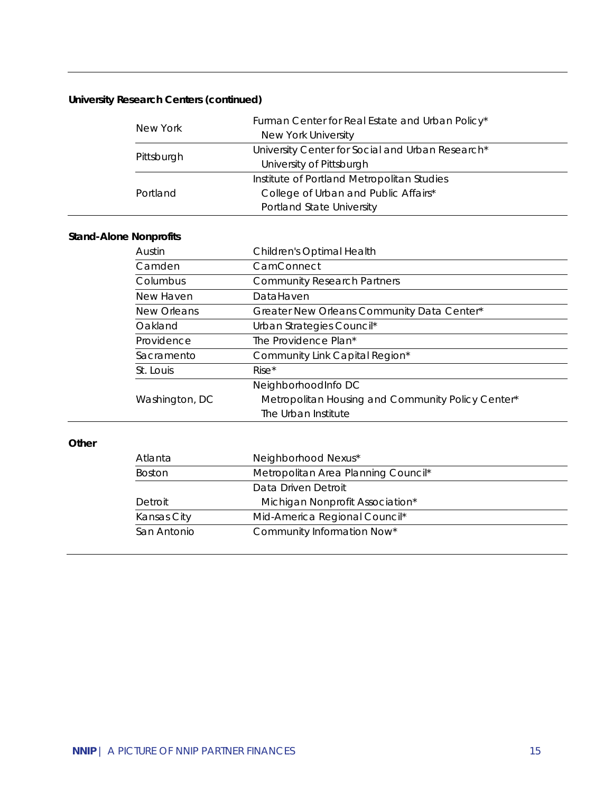## **University Research Centers (continued)**

| New York   | Furman Center for Real Estate and Urban Policy*<br>New York University |  |
|------------|------------------------------------------------------------------------|--|
| Pittsburgh | University Center for Social and Urban Research*                       |  |
|            | University of Pittsburgh                                               |  |
|            | Institute of Portland Metropolitan Studies                             |  |
| Portland   | College of Urban and Public Affairs*                                   |  |
|            | Portland State University                                              |  |

#### **Stand-Alone Nonprofits**

| Austin         | Children's Optimal Health                         |
|----------------|---------------------------------------------------|
| Camden         | CamConnect                                        |
| Columbus       | <b>Community Research Partners</b>                |
| New Haven      | DataHaven                                         |
| New Orleans    | Greater New Orleans Community Data Center*        |
| Oakland        | Urban Strategies Council*                         |
| Providence     | The Providence Plan*                              |
| Sacramento     | Community Link Capital Region*                    |
| St. Louis      | $Rise*$                                           |
|                | NeighborhoodInfo DC                               |
| Washington, DC | Metropolitan Housing and Community Policy Center* |
|                | The Urban Institute                               |

#### **Other**

| Atlanta       | Neighborhood Nexus*                 |
|---------------|-------------------------------------|
| <b>Boston</b> | Metropolitan Area Planning Council* |
|               | Data Driven Detroit                 |
| Detroit       | Michigan Nonprofit Association*     |
| Kansas City   | Mid-America Regional Council*       |
| San Antonio   | Community Information Now*          |